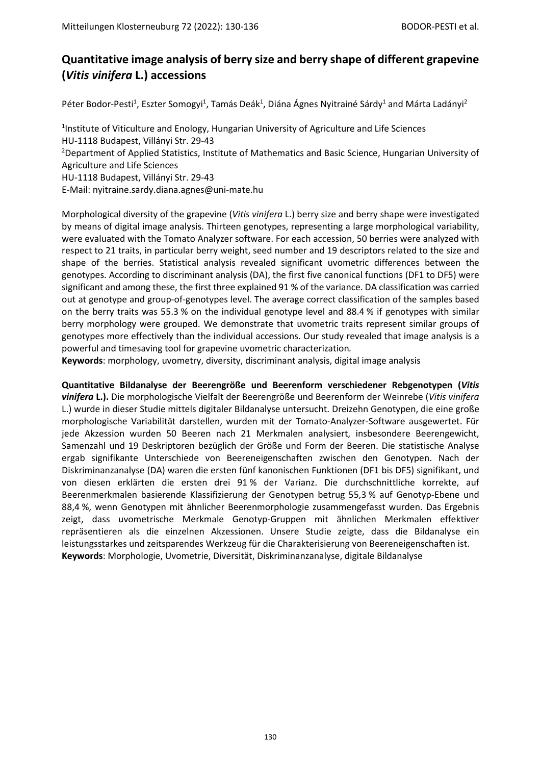## **Quantitative image analysis of berry size and berry shape of different grapevine (***Vitis vinifera* **L.) accessions**

Péter Bodor-Pesti<sup>1</sup>, Eszter Somogyi<sup>1</sup>, Tamás Deák<sup>1</sup>, Diána Ágnes Nyitrainé Sárdy<sup>1</sup> and Márta Ladányi<sup>2</sup>

<sup>1</sup>Institute of Viticulture and Enology, Hungarian University of Agriculture and Life Sciences HU-1118 Budapest, Villányi Str. 29-43 <sup>2</sup>Department of Applied Statistics, Institute of Mathematics and Basic Science, Hungarian University of Agriculture and Life Sciences HU-1118 Budapest, Villányi Str. 29-43 E-Mail: nyitraine.sardy.diana.agnes@uni-mate.hu

Morphological diversity of the grapevine (*Vitis vinifera* L.) berry size and berry shape were investigated by means of digital image analysis. Thirteen genotypes, representing a large morphological variability, were evaluated with the Tomato Analyzer software. For each accession, 50 berries were analyzed with respect to 21 traits, in particular berry weight, seed number and 19 descriptors related to the size and shape of the berries. Statistical analysis revealed significant uvometric differences between the genotypes. According to discriminant analysis (DA), the first five canonical functions (DF1 to DF5) were significant and among these, the first three explained 91 % of the variance. DA classification was carried out at genotype and group-of-genotypes level. The average correct classification of the samples based on the berry traits was 55.3 % on the individual genotype level and 88.4 % if genotypes with similar berry morphology were grouped. We demonstrate that uvometric traits represent similar groups of genotypes more effectively than the individual accessions. Our study revealed that image analysis is a powerful and timesaving tool for grapevine uvometric characterization*.*

**Keywords**: morphology, uvometry, diversity, discriminant analysis, digital image analysis

# **Quantitative Bildanalyse der Beerengröße und Beerenform verschiedener Rebgenotypen (***Vitis*

*vinifera* **L.).** Die morphologische Vielfalt der Beerengröße und Beerenform der Weinrebe (*Vitis vinifera* L.) wurde in dieser Studie mittels digitaler Bildanalyse untersucht. Dreizehn Genotypen, die eine große morphologische Variabilität darstellen, wurden mit der Tomato-Analyzer-Software ausgewertet. Für jede Akzession wurden 50 Beeren nach 21 Merkmalen analysiert, insbesondere Beerengewicht, Samenzahl und 19 Deskriptoren bezüglich der Größe und Form der Beeren. Die statistische Analyse ergab signifikante Unterschiede von Beereneigenschaften zwischen den Genotypen. Nach der Diskriminanzanalyse (DA) waren die ersten fünf kanonischen Funktionen (DF1 bis DF5) signifikant, und von diesen erklärten die ersten drei 91 % der Varianz. Die durchschnittliche korrekte, auf Beerenmerkmalen basierende Klassifizierung der Genotypen betrug 55,3 % auf Genotyp-Ebene und 88,4 %, wenn Genotypen mit ähnlicher Beerenmorphologie zusammengefasst wurden. Das Ergebnis zeigt, dass uvometrische Merkmale Genotyp-Gruppen mit ähnlichen Merkmalen effektiver repräsentieren als die einzelnen Akzessionen. Unsere Studie zeigte, dass die Bildanalyse ein leistungsstarkes und zeitsparendes Werkzeug für die Charakterisierung von Beereneigenschaften ist. **Keywords**: Morphologie, Uvometrie, Diversität, Diskriminanzanalyse, digitale Bildanalyse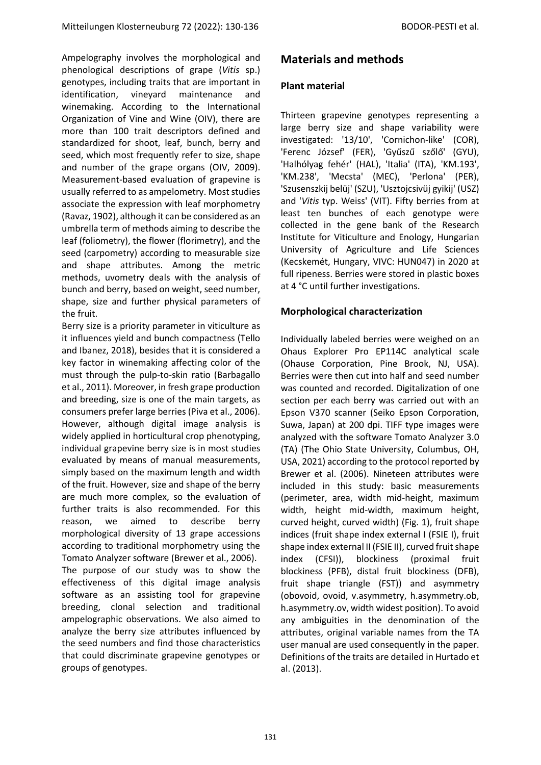Ampelography involves the morphological and phenological descriptions of grape (*Vitis* sp.) genotypes, including traits that are important in identification, vineyard maintenance and winemaking. According to the International Organization of Vine and Wine (OIV), there are more than 100 trait descriptors defined and standardized for shoot, leaf, bunch, berry and seed, which most frequently refer to size, shape and number of the grape organs (OIV, 2009). Measurement-based evaluation of grapevine is usually referred to as ampelometry. Most studies associate the expression with leaf morphometry (Ravaz, 1902), although it can be considered as an umbrella term of methods aiming to describe the leaf (foliometry), the flower (florimetry), and the seed (carpometry) according to measurable size and shape attributes. Among the metric methods, uvometry deals with the analysis of bunch and berry, based on weight, seed number, shape, size and further physical parameters of the fruit.

Berry size is a priority parameter in viticulture as it influences yield and bunch compactness (Tello and Ibanez, 2018), besides that it is considered a key factor in winemaking affecting color of the must through the pulp-to-skin ratio (Barbagallo et al., 2011). Moreover, in fresh grape production and breeding, size is one of the main targets, as consumers prefer large berries (Piva et al., 2006). However, although digital image analysis is widely applied in horticultural crop phenotyping, individual grapevine berry size is in most studies evaluated by means of manual measurements, simply based on the maximum length and width of the fruit. However, size and shape of the berry are much more complex, so the evaluation of further traits is also recommended. For this reason, we aimed to describe berry morphological diversity of 13 grape accessions according to traditional morphometry using the Tomato Analyzer software (Brewer et al., 2006). The purpose of our study was to show the

effectiveness of this digital image analysis software as an assisting tool for grapevine breeding, clonal selection and traditional ampelographic observations. We also aimed to analyze the berry size attributes influenced by the seed numbers and find those characteristics that could discriminate grapevine genotypes or groups of genotypes.

## **Materials and methods**

#### **Plant material**

Thirteen grapevine genotypes representing a large berry size and shape variability were investigated: '13/10', 'Cornichon-like' (COR), 'Ferenc József' (FER), 'Gyűszű szőlő' (GYU), 'Halhólyag fehér' (HAL), 'Italia' (ITA), 'KM.193', 'KM.238', 'Mecsta' (MEC), 'Perlona' (PER), 'Szusenszkij belüj' (SZU), 'Usztojcsivüj gyikij' (USZ) and '*Vitis* typ. Weiss' (VIT). Fifty berries from at least ten bunches of each genotype were collected in the gene bank of the Research Institute for Viticulture and Enology, Hungarian University of Agriculture and Life Sciences (Kecskemét, Hungary, VIVC: HUN047) in 2020 at full ripeness. Berries were stored in plastic boxes at 4 °C until further investigations.

#### **Morphological characterization**

Individually labeled berries were weighed on an Ohaus Explorer Pro EP114C analytical scale (Ohause Corporation, Pine Brook, NJ, USA). Berries were then cut into half and seed number was counted and recorded. Digitalization of one section per each berry was carried out with an Epson V370 scanner (Seiko Epson Corporation, Suwa, Japan) at 200 dpi. TIFF type images were analyzed with the software Tomato Analyzer 3.0 (TA) (The Ohio State University, Columbus, OH, USA, 2021) according to the protocol reported by Brewer et al. (2006). Nineteen attributes were included in this study: basic measurements (perimeter, area, width mid-height, maximum width, height mid-width, maximum height, curved height, curved width) (Fig. 1), fruit shape indices (fruit shape index external I (FSIE I), fruit shape index external II (FSIE II), curved fruit shape index (CFSI)), blockiness (proximal fruit blockiness (PFB), distal fruit blockiness (DFB), fruit shape triangle (FST)) and asymmetry (obovoid, ovoid, v.asymmetry, h.asymmetry.ob, h.asymmetry.ov, width widest position). To avoid any ambiguities in the denomination of the attributes, original variable names from the TA user manual are used consequently in the paper. Definitions of the traits are detailed in Hurtado et al. (2013).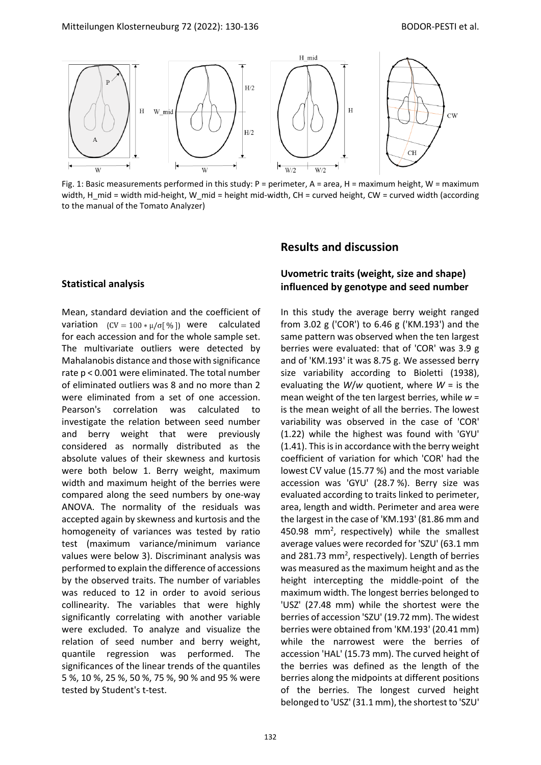

Fig. 1: Basic measurements performed in this study: P = perimeter, A = area, H = maximum height, W = maximum width, H\_mid = width mid-height, W\_mid = height mid-width, CH = curved height, CW = curved width (according to the manual of the Tomato Analyzer)

#### **Statistical analysis**

Mean, standard deviation and the coefficient of variation  $(CV = 100 * \mu/\sigma$ [%]) were calculated for each accession and for the whole sample set. The multivariate outliers were detected by Mahalanobis distance and those with significance rate p < 0.001 were eliminated. The total number of eliminated outliers was 8 and no more than 2 were eliminated from a set of one accession. Pearson's correlation was calculated to investigate the relation between seed number and berry weight that were previously considered as normally distributed as the absolute values of their skewness and kurtosis were both below 1. Berry weight, maximum width and maximum height of the berries were compared along the seed numbers by one-way ANOVA. The normality of the residuals was accepted again by skewness and kurtosis and the homogeneity of variances was tested by ratio test (maximum variance/minimum variance values were below 3). Discriminant analysis was performed to explain the difference of accessions by the observed traits. The number of variables was reduced to 12 in order to avoid serious collinearity. The variables that were highly significantly correlating with another variable were excluded. To analyze and visualize the relation of seed number and berry weight, quantile regression was performed. The significances of the linear trends of the quantiles 5 %, 10 %, 25 %, 50 %, 75 %, 90 % and 95 % were tested by Student's t-test.

#### **Results and discussion**

#### **Uvometric traits (weight, size and shape) influenced by genotype and seed number**

In this study the average berry weight ranged from 3.02 g ('COR') to 6.46 g ('KM.193') and the same pattern was observed when the ten largest berries were evaluated: that of 'COR' was 3.9 g and of 'KM.193' it was 8.75 g. We assessed berry size variability according to Bioletti (1938), evaluating the *W*/*w* quotient, where *W* = is the mean weight of the ten largest berries, while *w* = is the mean weight of all the berries. The lowest variability was observed in the case of 'COR' (1.22) while the highest was found with 'GYU' (1.41). This is in accordance with the berry weight coefficient of variation for which 'COR' had the lowest CV value (15.77 %) and the most variable accession was 'GYU' (28.7 %). Berry size was evaluated according to traits linked to perimeter, area, length and width. Perimeter and area were the largest in the case of 'KM.193' (81.86 mm and 450.98 mm<sup>2</sup>, respectively) while the smallest average values were recorded for 'SZU' (63.1 mm and 281.73 mm<sup>2</sup>, respectively). Length of berries was measured as the maximum height and as the height intercepting the middle-point of the maximum width. The longest berries belonged to 'USZ' (27.48 mm) while the shortest were the berries of accession 'SZU' (19.72 mm). The widest berries were obtained from 'KM.193' (20.41 mm) while the narrowest were the berries of accession 'HAL' (15.73 mm). The curved height of the berries was defined as the length of the berries along the midpoints at different positions of the berries. The longest curved height belonged to 'USZ' (31.1 mm), the shortest to 'SZU'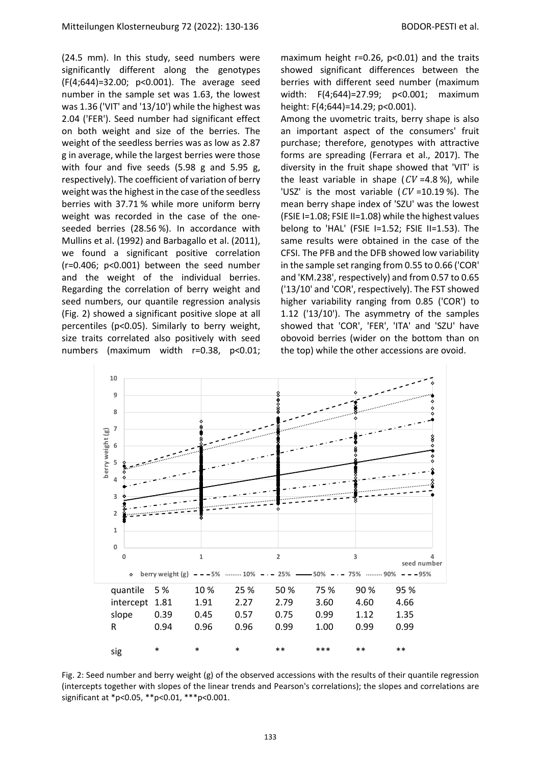(24.5 mm). In this study, seed numbers were significantly different along the genotypes (F(4;644)=32.00; p<0.001). The average seed number in the sample set was 1.63, the lowest was 1.36 ('VIT' and '13/10') while the highest was 2.04 ('FER'). Seed number had significant effect on both weight and size of the berries. The weight of the seedless berries was as low as 2.87 g in average, while the largest berries were those with four and five seeds (5.98 g and 5.95 g, respectively). The coefficient of variation of berry weight was the highest in the case of the seedless berries with 37.71 % while more uniform berry weight was recorded in the case of the oneseeded berries (28.56 %). In accordance with Mullins et al. (1992) and Barbagallo et al. (2011), we found a significant positive correlation (r=0.406; p<0.001) between the seed number and the weight of the individual berries. Regarding the correlation of berry weight and seed numbers, our quantile regression analysis (Fig. 2) showed a significant positive slope at all percentiles (p<0.05). Similarly to berry weight, size traits correlated also positively with seed numbers (maximum width r=0.38, p<0.01;

maximum height r=0.26, p<0.01) and the traits showed significant differences between the berries with different seed number (maximum width: F(4;644)=27.99; p<0.001; maximum height: F(4;644)=14.29; p<0.001).

Among the uvometric traits, berry shape is also an important aspect of the consumers' fruit purchase; therefore, genotypes with attractive forms are spreading (Ferrara et al., 2017). The diversity in the fruit shape showed that 'VIT' is the least variable in shape ( $CV = 4.8$ %), while 'USZ' is the most variable ( $CV = 10.19$ %). The mean berry shape index of 'SZU' was the lowest (FSIE I=1.08; FSIE II=1.08) while the highest values belong to 'HAL' (FSIE I=1.52; FSIE II=1.53). The same results were obtained in the case of the CFSI. The PFB and the DFB showed low variability in the sample set ranging from 0.55 to 0.66 ('COR' and 'KM.238', respectively) and from 0.57 to 0.65 ('13/10' and 'COR', respectively). The FST showed higher variability ranging from 0.85 ('COR') to 1.12 ('13/10'). The asymmetry of the samples showed that 'COR', 'FER', 'ITA' and 'SZU' have obovoid berries (wider on the bottom than on the top) while the other accessions are ovoid.



Fig. 2: Seed number and berry weight (g) of the observed accessions with the results of their quantile regression (intercepts together with slopes of the linear trends and Pearson's correlations); the slopes and correlations are significant at \*p<0.05, \*\*p<0.01, \*\*\*p<0.001.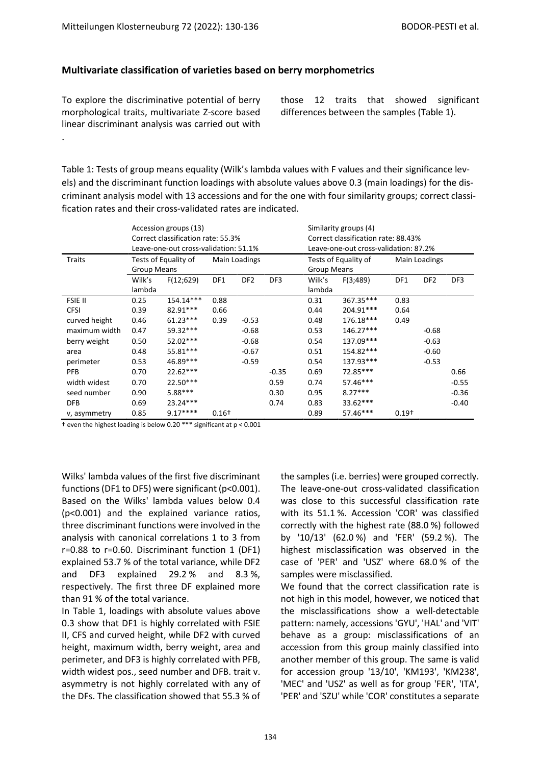#### **Multivariate classification of varieties based on berry morphometrics**

To explore the discriminative potential of berry morphological traits, multivariate Z-score based linear discriminant analysis was carried out with

.

those 12 traits that showed significant differences between the samples (Table 1).

Table 1: Tests of group means equality (Wilk's lambda values with F values and their significance levels) and the discriminant function loadings with absolute values above 0.3 (main loadings) for the discriminant analysis model with 13 accessions and for the one with four similarity groups; correct classification rates and their cross-validated rates are indicated.

| Traits         | Accession groups (13)<br>Correct classification rate: 55.3%<br>Leave-one-out cross-validation: 51.1%<br>Tests of Equality of<br>Main Loadings |            |         |                 |         | Similarity groups (4)<br>Correct classification rate: 88.43%<br>Leave-one-out cross-validation: 87.2%<br>Tests of Equality of<br>Main Loadings |           |         |                 |         |
|----------------|-----------------------------------------------------------------------------------------------------------------------------------------------|------------|---------|-----------------|---------|------------------------------------------------------------------------------------------------------------------------------------------------|-----------|---------|-----------------|---------|
|                | <b>Group Means</b>                                                                                                                            |            |         |                 |         | <b>Group Means</b>                                                                                                                             |           |         |                 |         |
|                | Wilk's<br>lambda                                                                                                                              | F(12;629)  | DF1     | DF <sub>2</sub> | DF3     | Wilk's<br>lambda                                                                                                                               | F(3;489)  | DF1     | DF <sub>2</sub> | DF3     |
| <b>FSIE II</b> | 0.25                                                                                                                                          | 154.14***  | 0.88    |                 |         | 0.31                                                                                                                                           | 367.35*** | 0.83    |                 |         |
| <b>CFSI</b>    | 0.39                                                                                                                                          | 82.91***   | 0.66    |                 |         | 0.44                                                                                                                                           | 204.91*** | 0.64    |                 |         |
| curved height  | 0.46                                                                                                                                          | $61.23***$ | 0.39    | $-0.53$         |         | 0.48                                                                                                                                           | 176.18*** | 0.49    |                 |         |
| maximum width  | 0.47                                                                                                                                          | 59.32***   |         | $-0.68$         |         | 0.53                                                                                                                                           | 146.27*** |         | $-0.68$         |         |
| berry weight   | 0.50                                                                                                                                          | 52.02***   |         | $-0.68$         |         | 0.54                                                                                                                                           | 137.09*** |         | $-0.63$         |         |
| area           | 0.48                                                                                                                                          | 55.81***   |         | $-0.67$         |         | 0.51                                                                                                                                           | 154.82*** |         | $-0.60$         |         |
| perimeter      | 0.53                                                                                                                                          | 46.89***   |         | $-0.59$         |         | 0.54                                                                                                                                           | 137.93*** |         | $-0.53$         |         |
| <b>PFB</b>     | 0.70                                                                                                                                          | $22.62***$ |         |                 | $-0.35$ | 0.69                                                                                                                                           | 72.85***  |         |                 | 0.66    |
| width widest   | 0.70                                                                                                                                          | $22.50***$ |         |                 | 0.59    | 0.74                                                                                                                                           | 57.46***  |         |                 | $-0.55$ |
| seed number    | 0.90                                                                                                                                          | $5.88***$  |         |                 | 0.30    | 0.95                                                                                                                                           | $8.27***$ |         |                 | $-0.36$ |
| <b>DFB</b>     | 0.69                                                                                                                                          | $23.24***$ |         |                 | 0.74    | 0.83                                                                                                                                           | 33.62***  |         |                 | $-0.40$ |
| v, asymmetry   | 0.85                                                                                                                                          | $9.17***$  | $0.16+$ |                 |         | 0.89                                                                                                                                           | 57.46***  | $0.19+$ |                 |         |

† even the highest loading is below 0.20 \*\*\* significant at p < 0.001

Wilks' lambda values of the first five discriminant functions (DF1 to DF5) were significant (p<0.001). Based on the Wilks' lambda values below 0.4 (p<0.001) and the explained variance ratios, three discriminant functions were involved in the analysis with canonical correlations 1 to 3 from r=0.88 to r=0.60. Discriminant function 1 (DF1) explained 53.7 % of the total variance, while DF2 and DF3 explained 29.2 % and 8.3 %, respectively. The first three DF explained more than 91 % of the total variance.

In Table 1, loadings with absolute values above 0.3 show that DF1 is highly correlated with FSIE II, CFS and curved height, while DF2 with curved height, maximum width, berry weight, area and perimeter, and DF3 is highly correlated with PFB, width widest pos., seed number and DFB. trait v. asymmetry is not highly correlated with any of the DFs. The classification showed that 55.3 % of the samples (i.e. berries) were grouped correctly. The leave-one-out cross-validated classification was close to this successful classification rate with its 51.1 %. Accession 'COR' was classified correctly with the highest rate (88.0 %) followed by '10/13' (62.0 %) and 'FER' (59.2 %). The highest misclassification was observed in the case of 'PER' and 'USZ' where 68.0 % of the samples were misclassified.

We found that the correct classification rate is not high in this model, however, we noticed that the misclassifications show a well-detectable pattern: namely, accessions 'GYU', 'HAL' and 'VIT' behave as a group: misclassifications of an accession from this group mainly classified into another member of this group. The same is valid for accession group '13/10', 'KM193', 'KM238', 'MEC' and 'USZ' as well as for group 'FER', 'ITA', 'PER' and 'SZU' while 'COR' constitutes a separate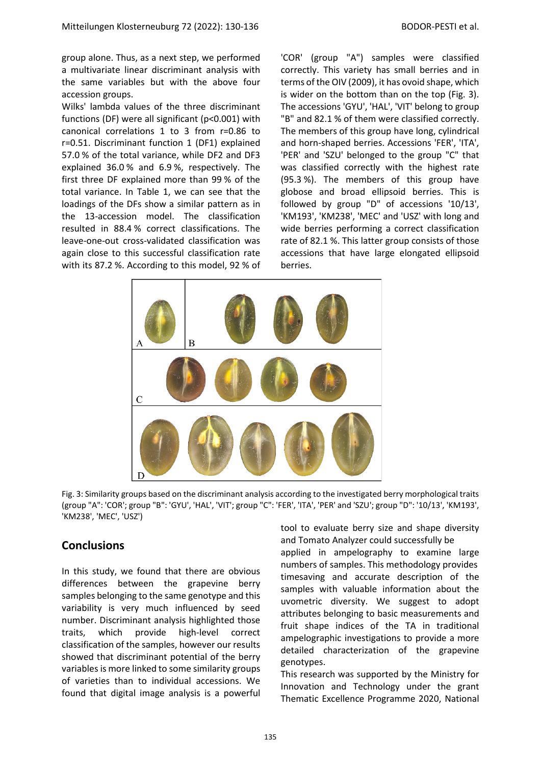group alone. Thus, as a next step, we performed a multivariate linear discriminant analysis with the same variables but with the above four accession groups.

Wilks' lambda values of the three discriminant functions (DF) were all significant (p<0.001) with canonical correlations 1 to 3 from r=0.86 to r=0.51. Discriminant function 1 (DF1) explained 57.0 % of the total variance, while DF2 and DF3 explained 36.0 % and 6.9 %, respectively. The first three DF explained more than 99 % of the total variance. In Table 1, we can see that the loadings of the DFs show a similar pattern as in the 13-accession model. The classification resulted in 88.4 % correct classifications. The leave-one-out cross-validated classification was again close to this successful classification rate with its 87.2 %. According to this model, 92 % of

'COR' (group "A") samples were classified correctly. This variety has small berries and in terms of the OIV (2009), it has ovoid shape, which is wider on the bottom than on the top (Fig. 3). The accessions 'GYU', 'HAL', 'VIT' belong to group "B" and 82.1 % of them were classified correctly. The members of this group have long, cylindrical and horn-shaped berries. Accessions 'FER', 'ITA', 'PER' and 'SZU' belonged to the group "C" that was classified correctly with the highest rate (95.3 %). The members of this group have globose and broad ellipsoid berries. This is followed by group "D" of accessions '10/13', 'KM193', 'KM238', 'MEC' and 'USZ' with long and wide berries performing a correct classification rate of 82.1 %. This latter group consists of those accessions that have large elongated ellipsoid berries.



Fig. 3: Similarity groups based on the discriminant analysis according to the investigated berry morphological traits (group "A": 'COR'; group "B": 'GYU', 'HAL', 'VIT'; group "C": 'FER', 'ITA', 'PER' and 'SZU'; group "D": '10/13', 'KM193', 'KM238', 'MEC', 'USZ')

#### **Conclusions**

In this study, we found that there are obvious differences between the grapevine berry samples belonging to the same genotype and this variability is very much influenced by seed number. Discriminant analysis highlighted those traits, which provide high-level correct classification of the samples, however our results showed that discriminant potential of the berry variables is more linked to some similarity groups of varieties than to individual accessions. We found that digital image analysis is a powerful tool to evaluate berry size and shape diversity and Tomato Analyzer could successfully be

applied in ampelography to examine large numbers of samples. This methodology provides timesaving and accurate description of the samples with valuable information about the uvometric diversity. We suggest to adopt attributes belonging to basic measurements and fruit shape indices of the TA in traditional ampelographic investigations to provide a more detailed characterization of the grapevine genotypes.

This research was supported by the Ministry for Innovation and Technology under the grant Thematic Excellence Programme 2020, National